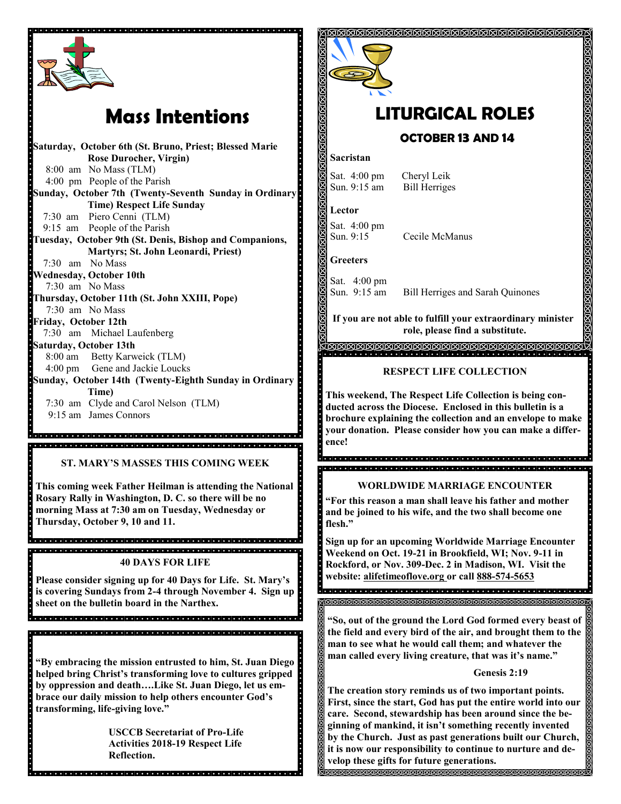

# **Mass Intentions**

**Saturday, October 6th (St. Bruno, Priest; Blessed Marie Rose Durocher, Virgin)** 8:00 am No Mass (TLM) 4:00 pm People of the Parish **Sunday, October 7th (Twenty-Seventh Sunday in Ordinary Time) Respect Life Sunday** 7:30 am Piero Cenni (TLM) 9:15 am People of the Parish **Tuesday, October 9th (St. Denis, Bishop and Companions, Martyrs; St. John Leonardi, Priest)** 7:30 am No Mass **Wednesday, October 10th** 7:30 am No Mass **Thursday, October 11th (St. John XXIII, Pope)** 7:30 am No Mass **Friday, October 12th** 7:30 am Michael Laufenberg **Saturday, October 13th**  8:00 am Betty Karweick (TLM) 4:00 pm Gene and Jackie Loucks **Sunday, October 14th (Twenty-Eighth Sunday in Ordinary Time)**  7:30 am Clyde and Carol Nelson (TLM) 9:15 am James Connors 

**ST. MARY'S MASSES THIS COMING WEEK**

**This coming week Father Heilman is attending the National Rosary Rally in Washington, D. C. so there will be no morning Mass at 7:30 am on Tuesday, Wednesday or Thursday, October 9, 10 and 11.**

di alcial di alcial di alcial di alcial di alcial di alcial di alcial di alcial di alcial di alcial di alcial di alcia **40 DAYS FOR LIFE**

**Please consider signing up for 40 Days for Life. St. Mary's is covering Sundays from 2-4 through November 4. Sign up sheet on the bulletin board in the Narthex.** 

en dende identicial de la landaria de la ciencial de la ciencial de la landaria de la landaria de la landaria

**"By embracing the mission entrusted to him, St. Juan Diego helped bring Christ's transforming love to cultures gripped by oppression and death….Like St. Juan Diego, let us embrace our daily mission to help others encounter God's transforming, life-giving love."**

> **USCCB Secretariat of Pro-Life Activities 2018-19 Respect Life Reflection.**



## **LITURGICAL ROLES OCTOBER 13 AND 14**

### **Sacristan**

Sat. 4:00 pm Cheryl Leik Sun. 9:15 am Bill Herriges

**Lector**

Sat. 4:00 pm<br>Sun. 9:15 Cecile McManus

**Greeters**

Sat. 4:00 pm

Sun. 9:15 am Bill Herriges and Sarah Quinones

**If you are not able to fulfill your extraordinary minister role, please find a substitute.**  <u>Vaaraaraaraaraaraaraaraaraaraaraara</u>

### **RESPECT LIFE COLLECTION**

**This weekend, The Respect Life Collection is being conducted across the Diocese. Enclosed in this bulletin is a brochure explaining the collection and an envelope to make your donation. Please consider how you can make a difference!**

8<br>Contra de la ciencia de de decider de la ciencia de decidera de de de de dia anala de la concerta de la colorada de la colorada de la concerta de la col

### **WORLDWIDE MARRIAGE ENCOUNTER**

**"For this reason a man shall leave his father and mother and be joined to his wife, and the two shall become one flesh."**

**Sign up for an upcoming Worldwide Marriage Encounter Weekend on Oct. 19-21 in Brookfield, WI; Nov. 9-11 in Rockford, or Nov. 309-Dec. 2 in Madison, WI. Visit the website: alifetimeoflove.org or call 888-574-5653**

a<br>Se objetoj de la de jaroj de la de la de de de la de la de jaroj de jaroj de la de la de de de de 

**"So, out of the ground the Lord God formed every beast of the field and every bird of the air, and brought them to the man to see what he would call them; and whatever the man called every living creature, that was it's name."**

### **Genesis 2:19**

**The creation story reminds us of two important points. First, since the start, God has put the entire world into our care. Second, stewardship has been around since the beginning of mankind, it isn't something recently invented by the Church. Just as past generations built our Church, it is now our responsibility to continue to nurture and develop these gifts for future generations. INNNANNANNANNANNANNANNANNAN**